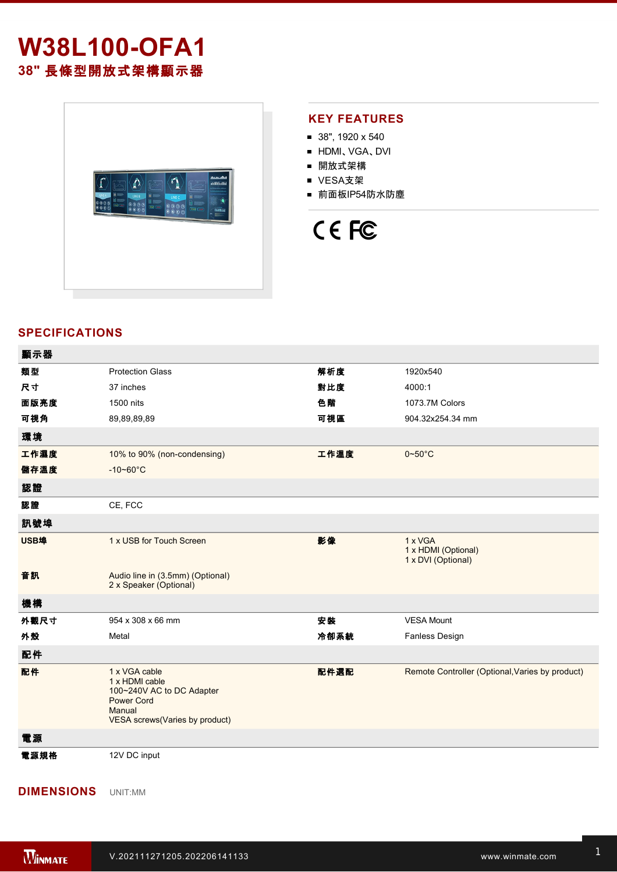## **W38L100-OFA1 38"** 長條型開放式架構顯示器

 $\sqrt{2}$  $\Omega$ 

### **KEY FEATURES**

- $\blacksquare$  38", 1920 x 540
- HDMI、VGA、DVI
- 開放式架構
- VESA支架
- 前面板IP54防水防塵

# CE FC

### **SPECIFICATIONS**

| 顯示器  |                                                                                                                               |      |                                                      |
|------|-------------------------------------------------------------------------------------------------------------------------------|------|------------------------------------------------------|
| 類型   | <b>Protection Glass</b>                                                                                                       | 解析度  | 1920x540                                             |
| 尺寸   | 37 inches                                                                                                                     | 對比度  | 4000:1                                               |
| 面版亮度 | 1500 nits                                                                                                                     | 色階   | 1073.7M Colors                                       |
| 可視角  | 89,89,89,89                                                                                                                   | 可視區  | 904.32x254.34 mm                                     |
| 環境   |                                                                                                                               |      |                                                      |
| 工作濕度 | 10% to 90% (non-condensing)                                                                                                   | 工作溫度 | $0 - 50^{\circ}$ C                                   |
| 儲存溫度 | $-10 - 60^{\circ}C$                                                                                                           |      |                                                      |
| 認證   |                                                                                                                               |      |                                                      |
| 認證   | CE, FCC                                                                                                                       |      |                                                      |
| 訊號埠  |                                                                                                                               |      |                                                      |
| USB埠 | 1 x USB for Touch Screen                                                                                                      | 影像   | 1 x VGA<br>1 x HDMI (Optional)<br>1 x DVI (Optional) |
| 音訊   | Audio line in (3.5mm) (Optional)<br>2 x Speaker (Optional)                                                                    |      |                                                      |
| 機構   |                                                                                                                               |      |                                                      |
| 外觀尺寸 | 954 x 308 x 66 mm                                                                                                             | 安裝   | <b>VESA Mount</b>                                    |
| 外殼   | Metal                                                                                                                         | 冷卻系統 | Fanless Design                                       |
| 配件   |                                                                                                                               |      |                                                      |
| 配件   | 1 x VGA cable<br>1 x HDMI cable<br>100~240V AC to DC Adapter<br><b>Power Cord</b><br>Manual<br>VESA screws(Varies by product) | 配件選配 | Remote Controller (Optional, Varies by product)      |
| 電源   |                                                                                                                               |      |                                                      |
| 電源規格 | 12V DC input                                                                                                                  |      |                                                      |

**DIMENSIONS**  UNIT:MM